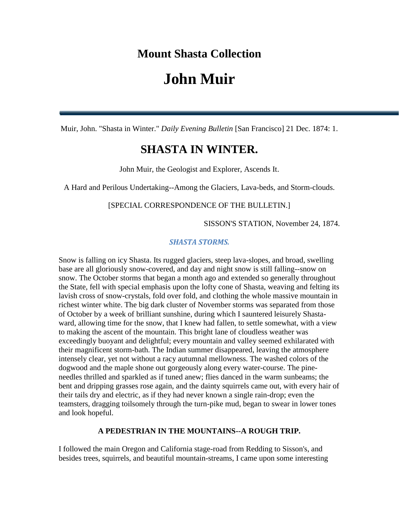## **Mount Shasta Collection**

# **John Muir**

Muir, John. "Shasta in Winter." *Daily Evening Bulletin* [San Francisco] 21 Dec. 1874: 1.

## **SHASTA IN WINTER.**

John Muir, the Geologist and Explorer, Ascends It.

A Hard and Perilous Undertaking--Among the Glaciers, Lava-beds, and Storm-clouds.

### [SPECIAL CORRESPONDENCE OF THE BULLETIN.]

SISSON'S STATION, November 24, 1874.

#### *SHASTA STORMS.*

Snow is falling on icy Shasta. Its rugged glaciers, steep lava-slopes, and broad, swelling base are all gloriously snow-covered, and day and night snow is still falling--snow on snow. The October storms that began a month ago and extended so generally throughout the State, fell with special emphasis upon the lofty cone of Shasta, weaving and felting its lavish cross of snow-crystals, fold over fold, and clothing the whole massive mountain in richest winter white. The big dark cluster of November storms was separated from those of October by a week of brilliant sunshine, during which I sauntered leisurely Shastaward, allowing time for the snow, that I knew had fallen, to settle somewhat, with a view to making the ascent of the mountain. This bright lane of cloudless weather was exceedingly buoyant and delightful; every mountain and valley seemed exhilarated with their magnificent storm-bath. The Indian summer disappeared, leaving the atmosphere intensely clear, yet not without a racy autumnal mellowness. The washed colors of the dogwood and the maple shone out gorgeously along every water-course. The pineneedles thrilled and sparkled as if tuned anew; flies danced in the warm sunbeams; the bent and dripping grasses rose again, and the dainty squirrels came out, with every hair of their tails dry and electric, as if they had never known a single rain-drop; even the teamsters, dragging toilsomely through the turn-pike mud, began to swear in lower tones and look hopeful.

#### **A PEDESTRIAN IN THE MOUNTAINS--A ROUGH TRIP.**

I followed the main Oregon and California stage-road from Redding to Sisson's, and besides trees, squirrels, and beautiful mountain-streams, I came upon some interesting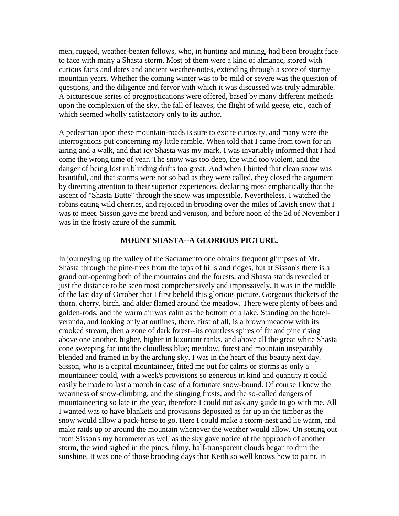men, rugged, weather-beaten fellows, who, in hunting and mining, had been brought face to face with many a Shasta storm. Most of them were a kind of almanac, stored with curious facts and dates and ancient weather-notes, extending through a score of stormy mountain years. Whether the coming winter was to be mild or severe was the question of questions, and the diligence and fervor with which it was discussed was truly admirable. A picturesque series of prognostications were offered, based by many different methods upon the complexion of the sky, the fall of leaves, the flight of wild geese, etc., each of which seemed wholly satisfactory only to its author.

A pedestrian upon these mountain-roads is sure to excite curiosity, and many were the interrogations put concerning my little ramble. When told that I came from town for an airing and a walk, and that icy Shasta was my mark, I was invariably informed that I had come the wrong time of year. The snow was too deep, the wind too violent, and the danger of being lost in blinding drifts too great. And when I hinted that clean snow was beautiful, and that storms were not so bad as they were called, they closed the argument by directing attention to their superior experiences, declaring most emphatically that the ascent of "Shasta Butte" through the snow was impossible. Nevertheless, I watched the robins eating wild cherries, and rejoiced in brooding over the miles of lavish snow that I was to meet. Sisson gave me bread and venison, and before noon of the 2d of November I was in the frosty azure of the summit.

#### **MOUNT SHASTA--A GLORIOUS PICTURE.**

In journeying up the valley of the Sacramento one obtains frequent glimpses of Mt. Shasta through the pine-trees from the tops of hills and ridges, but at Sisson's there is a grand out-opening both of the mountains and the forests, and Shasta stands revealed at just the distance to be seen most comprehensively and impressively. It was in the middle of the last day of October that I first beheld this glorious picture. Gorgeous thickets of the thorn, cherry, birch, and alder flamed around the meadow. There were plenty of bees and golden-rods, and the warm air was calm as the bottom of a lake. Standing on the hotelveranda, and looking only at outlines, there, first of all, is a brown meadow with its crooked stream, then a zone of dark forest--its countless spires of fir and pine rising above one another, higher, higher in luxuriant ranks, and above all the great white Shasta cone sweeping far into the cloudless blue; meadow, forest and mountain inseparably blended and framed in by the arching sky. I was in the heart of this beauty next day. Sisson, who is a capital mountaineer, fitted me out for calms or storms as only a mountaineer could, with a week's provisions so generous in kind and quantity it could easily be made to last a month in case of a fortunate snow-bound. Of course I knew the weariness of snow-climbing, and the stinging frosts, and the so-called dangers of mountaineering so late in the year, therefore I could not ask any guide to go with me. All I wanted was to have blankets and provisions deposited as far up in the timber as the snow would allow a pack-horse to go. Here I could make a storm-nest and lie warm, and make raids up or around the mountain whenever the weather would allow. On setting out from Sisson's my barometer as well as the sky gave notice of the approach of another storm, the wind sighed in the pines, filmy, half-transparent clouds began to dim the sunshine. It was one of those brooding days that Keith so well knows how to paint, in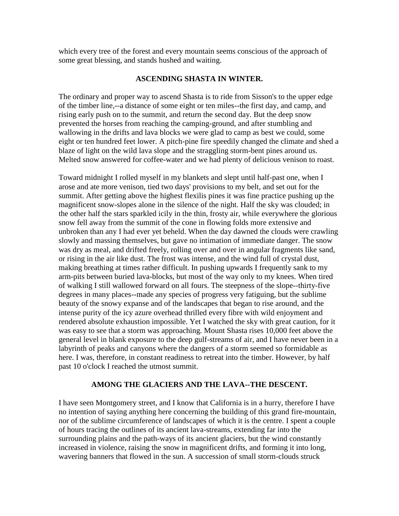which every tree of the forest and every mountain seems conscious of the approach of some great blessing, and stands hushed and waiting.

#### **ASCENDING SHASTA IN WINTER.**

The ordinary and proper way to ascend Shasta is to ride from Sisson's to the upper edge of the timber line,--a distance of some eight or ten miles--the first day, and camp, and rising early push on to the summit, and return the second day. But the deep snow prevented the horses from reaching the camping-ground, and after stumbling and wallowing in the drifts and lava blocks we were glad to camp as best we could, some eight or ten hundred feet lower. A pitch-pine fire speedily changed the climate and shed a blaze of light on the wild lava slope and the straggling storm-bent pines around us. Melted snow answered for coffee-water and we had plenty of delicious venison to roast.

Toward midnight I rolled myself in my blankets and slept until half-past one, when I arose and ate more venison, tied two days' provisions to my belt, and set out for the summit. After getting above the highest flexilis pines it was fine practice pushing up the magnificent snow-slopes alone in the silence of the night. Half the sky was clouded; in the other half the stars sparkled icily in the thin, frosty air, while everywhere the glorious snow fell away from the summit of the cone in flowing folds more extensive and unbroken than any I had ever yet beheld. When the day dawned the clouds were crawling slowly and massing themselves, but gave no intimation of immediate danger. The snow was dry as meal, and drifted freely, rolling over and over in angular fragments like sand, or rising in the air like dust. The frost was intense, and the wind full of crystal dust, making breathing at times rather difficult. In pushing upwards I frequently sank to my arm-pits between buried lava-blocks, but most of the way only to my knees. When tired of walking I still wallowed forward on all fours. The steepness of the slope--thirty-five degrees in many places--made any species of progress very fatiguing, but the sublime beauty of the snowy expanse and of the landscapes that began to rise around, and the intense purity of the icy azure overhead thrilled every fibre with wild enjoyment and rendered absolute exhaustion impossible. Yet I watched the sky with great caution, for it was easy to see that a storm was approaching. Mount Shasta rises 10,000 feet above the general level in blank exposure to the deep gulf-streams of air, and I have never been in a labyrinth of peaks and canyons where the dangers of a storm seemed so formidable as here. I was, therefore, in constant readiness to retreat into the timber. However, by half past 10 o'clock I reached the utmost summit.

#### **AMONG THE GLACIERS AND THE LAVA--THE DESCENT.**

I have seen Montgomery street, and I know that California is in a hurry, therefore I have no intention of saying anything here concerning the building of this grand fire-mountain, nor of the sublime circumference of landscapes of which it is the centre. I spent a couple of hours tracing the outlines of its ancient lava-streams, extending far into the surrounding plains and the path-ways of its ancient glaciers, but the wind constantly increased in violence, raising the snow in magnificent drifts, and forming it into long, wavering banners that flowed in the sun. A succession of small storm-clouds struck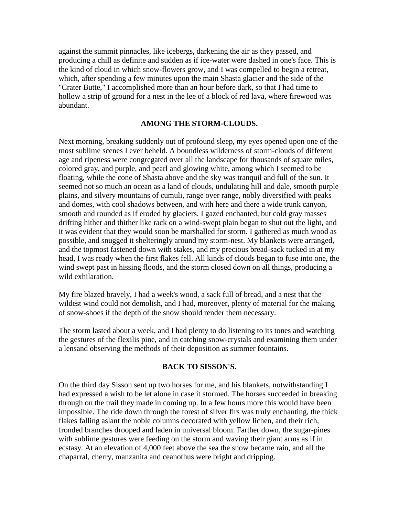against the summit pinnacles, like icebergs, darkening the air as they passed, and producing a chill as definite and sudden as if ice-water were dashed in one's face. This is the kind of cloud in which snow-flowers grow, and I was compelled to begin a retreat, which, after spending a few minutes upon the main Shasta glacier and the side of the "Crater Butte," I accomplished more than an hour before dark, so that I had time to hollow a strip of ground for a nest in the lee of a block of red lava, where firewood was abundant.

#### **AMONG THE STORM-CLOUDS.**

Next morning, breaking suddenly out of profound sleep, my eyes opened upon one of the most sublime scenes I ever beheld. A boundless wilderness of storm-clouds of different age and ripeness were congregated over all the landscape for thousands of square miles, colored gray, and purple, and pearl and glowing white, among which I seemed to be floating, while the cone of Shasta above and the sky was tranquil and full of the sun. It seemed not so much an ocean as a land of clouds, undulating hill and dale, smooth purple plains, and silvery mountains of cumuli, range over range, nobly diversified with peaks and domes, with cool shadows between, and with here and there a wide trunk canyon, smooth and rounded as if eroded by glaciers. I gazed enchanted, but cold gray masses drifting hither and thither like rack on a wind-swept plain began to shut out the light, and it was evident that they would soon be marshalled for storm. I gathered as much wood as possible, and snugged it shelteringly around my storm-nest. My blankets were arranged, and the topmost fastened down with stakes, and my precious bread-sack tucked in at my head, I was ready when the first flakes fell. All kinds of clouds began to fuse into one, the wind swept past in hissing floods, and the storm closed down on all things, producing a wild exhilaration.

My fire blazed bravely, I had a week's wood, a sack full of bread, and a nest that the wildest wind could not demolish, and I had, moreover, plenty of material for the making of snow-shoes if the depth of the snow should render them necessary.

The storm lasted about a week, and I had plenty to do listening to its tones and watching the gestures of the flexilis pine, and in catching snow-crystals and examining them under a lensand observing the methods of their deposition as summer fountains.

#### **BACK TO SISSON'S.**

On the third day Sisson sent up two horses for me, and his blankets, notwithstanding I had expressed a wish to be let alone in case it stormed. The horses succeeded in breaking through on the trail they made in coming up. In a few hours more this would have been impossible. The ride down through the forest of silver firs was truly enchanting, the thick flakes falling aslant the noble columns decorated with yellow lichen, and their rich, fronded branches drooped and laden in universal bloom. Farther down, the sugar-pines with sublime gestures were feeding on the storm and waving their giant arms as if in ecstasy. At an elevation of 4,000 feet above the sea the snow became rain, and all the chaparral, cherry, manzanita and ceanothus were bright and dripping.